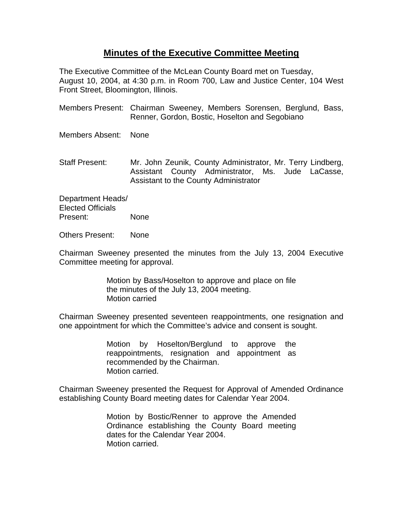## **Minutes of the Executive Committee Meeting**

The Executive Committee of the McLean County Board met on Tuesday, August 10, 2004, at 4:30 p.m. in Room 700, Law and Justice Center, 104 West Front Street, Bloomington, Illinois.

- Members Present: Chairman Sweeney, Members Sorensen, Berglund, Bass, Renner, Gordon, Bostic, Hoselton and Segobiano
- Members Absent: None
- Staff Present: Mr. John Zeunik, County Administrator, Mr. Terry Lindberg, Assistant County Administrator, Ms. Jude LaCasse, Assistant to the County Administrator

Department Heads/ Elected Officials Present: None

Others Present: None

Chairman Sweeney presented the minutes from the July 13, 2004 Executive Committee meeting for approval.

> Motion by Bass/Hoselton to approve and place on file the minutes of the July 13, 2004 meeting. Motion carried

Chairman Sweeney presented seventeen reappointments, one resignation and one appointment for which the Committee's advice and consent is sought.

> Motion by Hoselton/Berglund to approve the reappointments, resignation and appointment as recommended by the Chairman. Motion carried.

Chairman Sweeney presented the Request for Approval of Amended Ordinance establishing County Board meeting dates for Calendar Year 2004.

> Motion by Bostic/Renner to approve the Amended Ordinance establishing the County Board meeting dates for the Calendar Year 2004. Motion carried.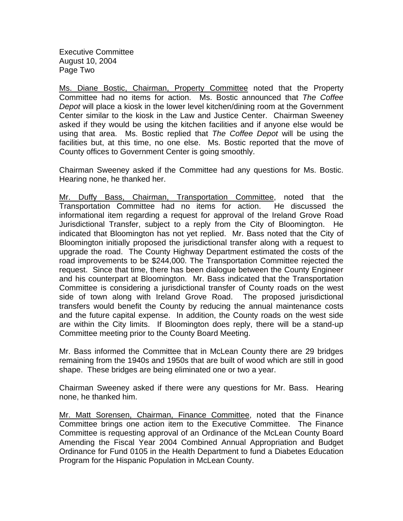Executive Committee August 10, 2004 Page Two

Ms. Diane Bostic, Chairman, Property Committee noted that the Property Committee had no items for action. Ms. Bostic announced that *The Coffee Depot* will place a kiosk in the lower level kitchen/dining room at the Government Center similar to the kiosk in the Law and Justice Center. Chairman Sweeney asked if they would be using the kitchen facilities and if anyone else would be using that area. Ms. Bostic replied that *The Coffee Depot* will be using the facilities but, at this time, no one else. Ms. Bostic reported that the move of County offices to Government Center is going smoothly.

Chairman Sweeney asked if the Committee had any questions for Ms. Bostic. Hearing none, he thanked her.

Mr. Duffy Bass, Chairman, Transportation Committee, noted that the Transportation Committee had no items for action. He discussed the informational item regarding a request for approval of the Ireland Grove Road Jurisdictional Transfer, subject to a reply from the City of Bloomington. He indicated that Bloomington has not yet replied. Mr. Bass noted that the City of Bloomington initially proposed the jurisdictional transfer along with a request to upgrade the road. The County Highway Department estimated the costs of the road improvements to be \$244,000. The Transportation Committee rejected the request. Since that time, there has been dialogue between the County Engineer and his counterpart at Bloomington. Mr. Bass indicated that the Transportation Committee is considering a jurisdictional transfer of County roads on the west side of town along with Ireland Grove Road. The proposed jurisdictional transfers would benefit the County by reducing the annual maintenance costs and the future capital expense. In addition, the County roads on the west side are within the City limits. If Bloomington does reply, there will be a stand-up Committee meeting prior to the County Board Meeting.

Mr. Bass informed the Committee that in McLean County there are 29 bridges remaining from the 1940s and 1950s that are built of wood which are still in good shape. These bridges are being eliminated one or two a year.

Chairman Sweeney asked if there were any questions for Mr. Bass. Hearing none, he thanked him.

Mr. Matt Sorensen, Chairman, Finance Committee, noted that the Finance Committee brings one action item to the Executive Committee. The Finance Committee is requesting approval of an Ordinance of the McLean County Board Amending the Fiscal Year 2004 Combined Annual Appropriation and Budget Ordinance for Fund 0105 in the Health Department to fund a Diabetes Education Program for the Hispanic Population in McLean County.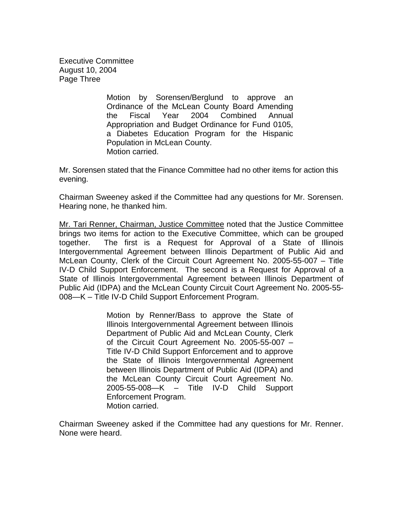Executive Committee August 10, 2004 Page Three

> Motion by Sorensen/Berglund to approve an Ordinance of the McLean County Board Amending the Fiscal Year 2004 Combined Annual Appropriation and Budget Ordinance for Fund 0105, a Diabetes Education Program for the Hispanic Population in McLean County. Motion carried.

Mr. Sorensen stated that the Finance Committee had no other items for action this evening.

Chairman Sweeney asked if the Committee had any questions for Mr. Sorensen. Hearing none, he thanked him.

Mr. Tari Renner, Chairman, Justice Committee noted that the Justice Committee brings two items for action to the Executive Committee, which can be grouped together. The first is a Request for Approval of a State of Illinois Intergovernmental Agreement between Illinois Department of Public Aid and McLean County, Clerk of the Circuit Court Agreement No. 2005-55-007 – Title IV-D Child Support Enforcement. The second is a Request for Approval of a State of Illinois Intergovernmental Agreement between Illinois Department of Public Aid (IDPA) and the McLean County Circuit Court Agreement No. 2005-55- 008—K – Title IV-D Child Support Enforcement Program.

> Motion by Renner/Bass to approve the State of Illinois Intergovernmental Agreement between Illinois Department of Public Aid and McLean County, Clerk of the Circuit Court Agreement No. 2005-55-007 – Title IV-D Child Support Enforcement and to approve the State of Illinois Intergovernmental Agreement between Illinois Department of Public Aid (IDPA) and the McLean County Circuit Court Agreement No. 2005-55-008—K – Title IV-D Child Support Enforcement Program. Motion carried.

Chairman Sweeney asked if the Committee had any questions for Mr. Renner. None were heard.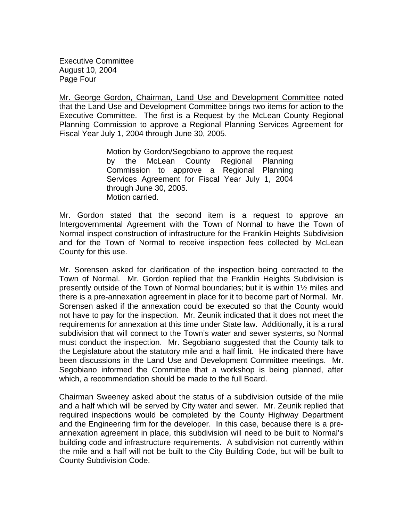Executive Committee August 10, 2004 Page Four

Mr. George Gordon, Chairman, Land Use and Development Committee noted that the Land Use and Development Committee brings two items for action to the Executive Committee. The first is a Request by the McLean County Regional Planning Commission to approve a Regional Planning Services Agreement for Fiscal Year July 1, 2004 through June 30, 2005.

> Motion by Gordon/Segobiano to approve the request by the McLean County Regional Planning Commission to approve a Regional Planning Services Agreement for Fiscal Year July 1, 2004 through June 30, 2005. Motion carried.

Mr. Gordon stated that the second item is a request to approve an Intergovernmental Agreement with the Town of Normal to have the Town of Normal inspect construction of infrastructure for the Franklin Heights Subdivision and for the Town of Normal to receive inspection fees collected by McLean County for this use.

Mr. Sorensen asked for clarification of the inspection being contracted to the Town of Normal. Mr. Gordon replied that the Franklin Heights Subdivision is presently outside of the Town of Normal boundaries; but it is within 1½ miles and there is a pre-annexation agreement in place for it to become part of Normal. Mr. Sorensen asked if the annexation could be executed so that the County would not have to pay for the inspection. Mr. Zeunik indicated that it does not meet the requirements for annexation at this time under State law. Additionally, it is a rural subdivision that will connect to the Town's water and sewer systems, so Normal must conduct the inspection. Mr. Segobiano suggested that the County talk to the Legislature about the statutory mile and a half limit. He indicated there have been discussions in the Land Use and Development Committee meetings. Mr. Segobiano informed the Committee that a workshop is being planned, after which, a recommendation should be made to the full Board.

Chairman Sweeney asked about the status of a subdivision outside of the mile and a half which will be served by City water and sewer. Mr. Zeunik replied that required inspections would be completed by the County Highway Department and the Engineering firm for the developer. In this case, because there is a preannexation agreement in place, this subdivision will need to be built to Normal's building code and infrastructure requirements. A subdivision not currently within the mile and a half will not be built to the City Building Code, but will be built to County Subdivision Code.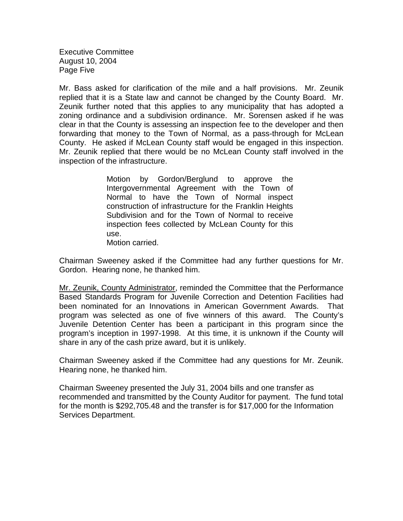Executive Committee August 10, 2004 Page Five

Mr. Bass asked for clarification of the mile and a half provisions. Mr. Zeunik replied that it is a State law and cannot be changed by the County Board. Mr. Zeunik further noted that this applies to any municipality that has adopted a zoning ordinance and a subdivision ordinance. Mr. Sorensen asked if he was clear in that the County is assessing an inspection fee to the developer and then forwarding that money to the Town of Normal, as a pass-through for McLean County. He asked if McLean County staff would be engaged in this inspection. Mr. Zeunik replied that there would be no McLean County staff involved in the inspection of the infrastructure.

> Motion by Gordon/Berglund to approve the Intergovernmental Agreement with the Town of Normal to have the Town of Normal inspect construction of infrastructure for the Franklin Heights Subdivision and for the Town of Normal to receive inspection fees collected by McLean County for this use.

Motion carried.

Chairman Sweeney asked if the Committee had any further questions for Mr. Gordon. Hearing none, he thanked him.

Mr. Zeunik, County Administrator, reminded the Committee that the Performance Based Standards Program for Juvenile Correction and Detention Facilities had been nominated for an Innovations in American Government Awards. That program was selected as one of five winners of this award. The County's Juvenile Detention Center has been a participant in this program since the program's inception in 1997-1998. At this time, it is unknown if the County will share in any of the cash prize award, but it is unlikely.

Chairman Sweeney asked if the Committee had any questions for Mr. Zeunik. Hearing none, he thanked him.

Chairman Sweeney presented the July 31, 2004 bills and one transfer as recommended and transmitted by the County Auditor for payment. The fund total for the month is \$292,705.48 and the transfer is for \$17,000 for the Information Services Department.